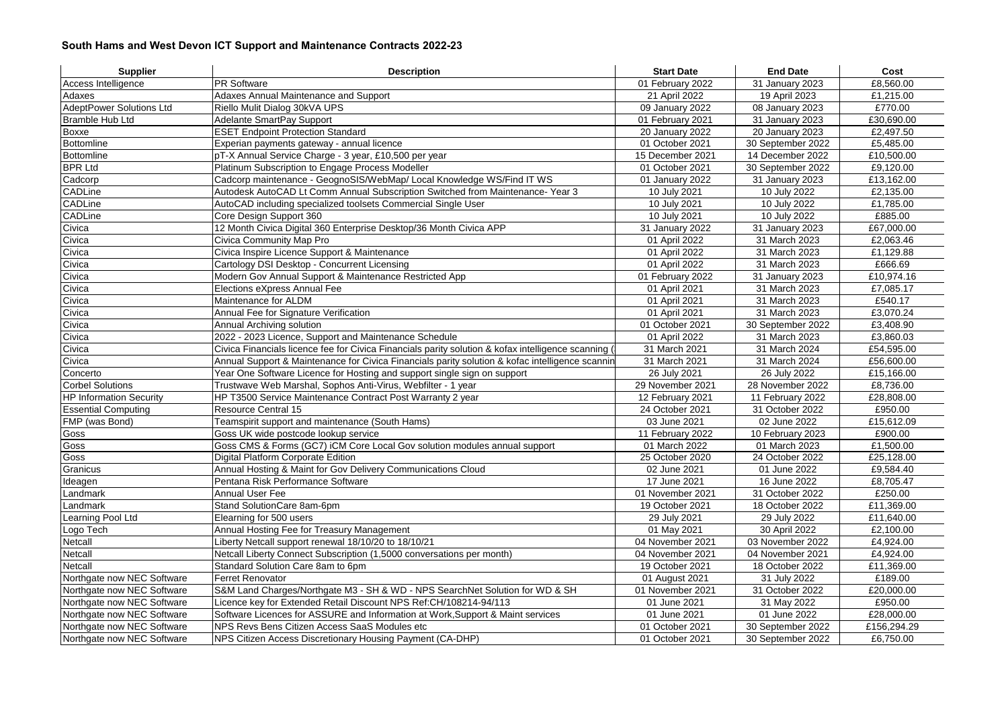## **South Hams and West Devon ICT Support and Maintenance Contracts 2022-23**

| <b>PR Software</b><br>£8,560.00<br>Access Intelligence<br>01 February 2022<br>31 January 2023<br>Adaxes Annual Maintenance and Support<br>21 April 2022<br>19 April 2023<br>£1,215.00<br>Adaxes<br><b>AdeptPower Solutions Ltd</b><br>£770.00<br>Riello Mulit Dialog 30kVA UPS<br>09 January 2022<br>08 January 2023<br>Bramble Hub Ltd<br>Adelante SmartPay Support<br>31 January 2023<br>£30,690.00<br>01 February 2021<br>Boxxe<br><b>ESET Endpoint Protection Standard</b><br>20 January 2022<br>20 January 2023<br>£2,497.50<br>Bottomline<br>£5,485.00<br>Experian payments gateway - annual licence<br>01 October 2021<br>30 September 2022<br>Bottomline<br>£10,500.00<br>pT-X Annual Service Charge - 3 year, £10,500 per year<br>15 December 2021<br>14 December 2022<br><b>BPR Ltd</b><br>Platinum Subscription to Engage Process Modeller<br>01 October 2021<br>30 September 2022<br>£9,120.00<br>Cadcorp<br>Cadcorp maintenance - GeognoSIS/WebMap/ Local Knowledge WS/Find IT WS<br>01 January 2022<br>31 January 2023<br>£13,162.00<br>CADLine<br>Autodesk AutoCAD Lt Comm Annual Subscription Switched from Maintenance- Year 3<br>10 July 2021<br>10 July 2022<br>£2,135.00<br>CADLine<br>AutoCAD including specialized toolsets Commercial Single User<br>10 July 2021<br>10 July 2022<br>£1,785.00<br>CADLine<br>10 July 2021<br>10 July 2022<br>£885.00<br>Core Design Support 360<br>£67,000.00<br>Civica<br>12 Month Civica Digital 360 Enterprise Desktop/36 Month Civica APP<br>31 January 2022<br>31 January 2023<br>Civica<br>Civica Community Map Pro<br>01 April 2022<br>31 March 2023<br>£2,063.46<br>Civica<br>Civica Inspire Licence Support & Maintenance<br>01 April 2022<br>31 March 2023<br>£1,129.88<br>Civica<br>£666.69<br>Cartology DSI Desktop - Concurrent Licensing<br>01 April 2022<br>31 March 2023<br>Civica<br>Modern Gov Annual Support & Maintenance Restricted App<br>01 February 2022<br>31 January 2023<br>£10,974.16<br>Civica<br>£7,085.17<br>Elections eXpress Annual Fee<br>01 April 2021<br>31 March 2023<br>Civica<br>Maintenance for ALDM<br>01 April 2021<br>31 March 2023<br>£540.17<br>Civica<br>Annual Fee for Signature Verification<br>01 April 2021<br>31 March 2023<br>£3,070.24<br>Civica<br>£3,408.90<br>Annual Archiving solution<br>01 October 2021<br>30 September 2022<br>2022 - 2023 Licence, Support and Maintenance Schedule<br>£3,860.03<br>Civica<br>01 April 2022<br>31 March 2023<br>Civica<br>£54,595.00<br>Civica Financials licence fee for Civica Financials parity solution & kofax intelligence scanning (<br>31 March 2021<br>31 March 2024<br>Civica<br>31 March 2024<br>£56,600.00<br>Annual Support & Maintenance for Civica Financials parity solution & kofac intelligence scannin<br>31 March 2021<br>Concerto<br>26 July 2022<br>Year One Software Licence for Hosting and support single sign on support<br>26 July 2021<br>£15,166.00<br><b>Corbel Solutions</b><br>Trustwave Web Marshal, Sophos Anti-Virus, Webfilter - 1 year<br>29 November 2021<br>28 November 2022<br>£8,736.00<br>£28,808.00<br><b>HP Information Security</b><br>HP T3500 Service Maintenance Contract Post Warranty 2 year<br>12 February 2021<br>11 February 2022<br><b>Essential Computing</b><br><b>Resource Central 15</b><br>24 October 2021<br>31 October 2022<br>£950.00<br>FMP (was Bond)<br>Teamspirit support and maintenance (South Hams)<br>03 June 2021<br>02 June 2022<br>£15,612.09<br>Goss<br>£900.00<br>Goss UK wide postcode lookup service<br>11 February 2022<br>10 February 2023<br>Goss CMS & Forms (GC7) iCM Core Local Gov solution modules annual support<br>£1,500.00<br>Goss<br>01 March 2022<br>01 March 2023<br>£25,128.00<br>Goss<br>Digital Platform Corporate Edition<br>25 October 2020<br>24 October 2022<br>Granicus<br>Annual Hosting & Maint for Gov Delivery Communications Cloud<br>02 June 2021<br>01 June 2022<br>£9,584.40<br>16 June 2022<br>£8,705.47<br>Ideagen<br>Pentana Risk Performance Software<br>17 June 2021<br>Landmark<br>Annual User Fee<br>01 November 2021<br>31 October 2022<br>£250.00<br>Stand SolutionCare 8am-6pm<br>£11,369.00<br>Landmark<br>19 October 2021<br>18 October 2022<br>Learning Pool Ltd<br>Elearning for 500 users<br>29 July 2021<br>29 July 2022<br>£11,640.00<br>Logo Tech<br>Annual Hosting Fee for Treasury Management<br>01 May 2021<br>30 April 2022<br>£2,100.00<br>Netcall<br>03 November 2022<br>£4,924.00<br>Liberty Netcall support renewal 18/10/20 to 18/10/21<br>04 November 2021<br>£4,924.00<br>Netcall<br>Netcall Liberty Connect Subscription (1,5000 conversations per month)<br>04 November 2021<br>04 November 2021<br><b>Netcall</b><br>£11,369.00<br>Standard Solution Care 8am to 6pm<br>19 October 2021<br>18 October 2022<br>Northgate now NEC Software<br>Ferret Renovator<br>31 July 2022<br>£189.00<br>01 August 2021<br>S&M Land Charges/Northgate M3 - SH & WD - NPS SearchNet Solution for WD & SH<br>£20,000.00<br>Northgate now NEC Software<br>01 November 2021<br>31 October 2022<br>Licence key for Extended Retail Discount NPS Ref:CH/108214-94/113<br>Northgate now NEC Software<br>01 June 2021<br>31 May 2022<br>£950.00<br>Northgate now NEC Software<br>Software Licences for ASSURE and Information at Work, Support & Maint services<br>01 June 2022<br>£28,000.00<br>01 June 2021<br>Northgate now NEC Software<br>NPS Revs Bens Citizen Access SaaS Modules etc<br>01 October 2021<br>30 September 2022<br>£156,294.29<br>NPS Citizen Access Discretionary Housing Payment (CA-DHP)<br>01 October 2021<br>£6,750.00<br>Northgate now NEC Software | <b>Supplier</b> | <b>Description</b> | <b>Start Date</b> | <b>End Date</b>   | Cost |
|----------------------------------------------------------------------------------------------------------------------------------------------------------------------------------------------------------------------------------------------------------------------------------------------------------------------------------------------------------------------------------------------------------------------------------------------------------------------------------------------------------------------------------------------------------------------------------------------------------------------------------------------------------------------------------------------------------------------------------------------------------------------------------------------------------------------------------------------------------------------------------------------------------------------------------------------------------------------------------------------------------------------------------------------------------------------------------------------------------------------------------------------------------------------------------------------------------------------------------------------------------------------------------------------------------------------------------------------------------------------------------------------------------------------------------------------------------------------------------------------------------------------------------------------------------------------------------------------------------------------------------------------------------------------------------------------------------------------------------------------------------------------------------------------------------------------------------------------------------------------------------------------------------------------------------------------------------------------------------------------------------------------------------------------------------------------------------------------------------------------------------------------------------------------------------------------------------------------------------------------------------------------------------------------------------------------------------------------------------------------------------------------------------------------------------------------------------------------------------------------------------------------------------------------------------------------------------------------------------------------------------------------------------------------------------------------------------------------------------------------------------------------------------------------------------------------------------------------------------------------------------------------------------------------------------------------------------------------------------------------------------------------------------------------------------------------------------------------------------------------------------------------------------------------------------------------------------------------------------------------------------------------------------------------------------------------------------------------------------------------------------------------------------------------------------------------------------------------------------------------------------------------------------------------------------------------------------------------------------------------------------------------------------------------------------------------------------------------------------------------------------------------------------------------------------------------------------------------------------------------------------------------------------------------------------------------------------------------------------------------------------------------------------------------------------------------------------------------------------------------------------------------------------------------------------------------------------------------------------------------------------------------------------------------------------------------------------------------------------------------------------------------------------------------------------------------------------------------------------------------------------------------------------------------------------------------------------------------------------------------------------------------------------------------------------------------------------------------------------------------------------------------------------------------------------------------------------------------------------------------------------------------------------------------------------------------------------------------------------------------------------------------------------------------------------------------------------------------------------------------------------------------------------------------------------------------------------------------------------------------------------------------------------------------------------------------------------------------------------------------------------------------------------------------------------------------------------------------------------------------------------------------------------------------------------------------------------------------------------------------------------------------------------|-----------------|--------------------|-------------------|-------------------|------|
|                                                                                                                                                                                                                                                                                                                                                                                                                                                                                                                                                                                                                                                                                                                                                                                                                                                                                                                                                                                                                                                                                                                                                                                                                                                                                                                                                                                                                                                                                                                                                                                                                                                                                                                                                                                                                                                                                                                                                                                                                                                                                                                                                                                                                                                                                                                                                                                                                                                                                                                                                                                                                                                                                                                                                                                                                                                                                                                                                                                                                                                                                                                                                                                                                                                                                                                                                                                                                                                                                                                                                                                                                                                                                                                                                                                                                                                                                                                                                                                                                                                                                                                                                                                                                                                                                                                                                                                                                                                                                                                                                                                                                                                                                                                                                                                                                                                                                                                                                                                                                                                                                                                                                                                                                                                                                                                                                                                                                                                                                                                                                                                                                                                          |                 |                    |                   |                   |      |
|                                                                                                                                                                                                                                                                                                                                                                                                                                                                                                                                                                                                                                                                                                                                                                                                                                                                                                                                                                                                                                                                                                                                                                                                                                                                                                                                                                                                                                                                                                                                                                                                                                                                                                                                                                                                                                                                                                                                                                                                                                                                                                                                                                                                                                                                                                                                                                                                                                                                                                                                                                                                                                                                                                                                                                                                                                                                                                                                                                                                                                                                                                                                                                                                                                                                                                                                                                                                                                                                                                                                                                                                                                                                                                                                                                                                                                                                                                                                                                                                                                                                                                                                                                                                                                                                                                                                                                                                                                                                                                                                                                                                                                                                                                                                                                                                                                                                                                                                                                                                                                                                                                                                                                                                                                                                                                                                                                                                                                                                                                                                                                                                                                                          |                 |                    |                   |                   |      |
|                                                                                                                                                                                                                                                                                                                                                                                                                                                                                                                                                                                                                                                                                                                                                                                                                                                                                                                                                                                                                                                                                                                                                                                                                                                                                                                                                                                                                                                                                                                                                                                                                                                                                                                                                                                                                                                                                                                                                                                                                                                                                                                                                                                                                                                                                                                                                                                                                                                                                                                                                                                                                                                                                                                                                                                                                                                                                                                                                                                                                                                                                                                                                                                                                                                                                                                                                                                                                                                                                                                                                                                                                                                                                                                                                                                                                                                                                                                                                                                                                                                                                                                                                                                                                                                                                                                                                                                                                                                                                                                                                                                                                                                                                                                                                                                                                                                                                                                                                                                                                                                                                                                                                                                                                                                                                                                                                                                                                                                                                                                                                                                                                                                          |                 |                    |                   |                   |      |
|                                                                                                                                                                                                                                                                                                                                                                                                                                                                                                                                                                                                                                                                                                                                                                                                                                                                                                                                                                                                                                                                                                                                                                                                                                                                                                                                                                                                                                                                                                                                                                                                                                                                                                                                                                                                                                                                                                                                                                                                                                                                                                                                                                                                                                                                                                                                                                                                                                                                                                                                                                                                                                                                                                                                                                                                                                                                                                                                                                                                                                                                                                                                                                                                                                                                                                                                                                                                                                                                                                                                                                                                                                                                                                                                                                                                                                                                                                                                                                                                                                                                                                                                                                                                                                                                                                                                                                                                                                                                                                                                                                                                                                                                                                                                                                                                                                                                                                                                                                                                                                                                                                                                                                                                                                                                                                                                                                                                                                                                                                                                                                                                                                                          |                 |                    |                   |                   |      |
|                                                                                                                                                                                                                                                                                                                                                                                                                                                                                                                                                                                                                                                                                                                                                                                                                                                                                                                                                                                                                                                                                                                                                                                                                                                                                                                                                                                                                                                                                                                                                                                                                                                                                                                                                                                                                                                                                                                                                                                                                                                                                                                                                                                                                                                                                                                                                                                                                                                                                                                                                                                                                                                                                                                                                                                                                                                                                                                                                                                                                                                                                                                                                                                                                                                                                                                                                                                                                                                                                                                                                                                                                                                                                                                                                                                                                                                                                                                                                                                                                                                                                                                                                                                                                                                                                                                                                                                                                                                                                                                                                                                                                                                                                                                                                                                                                                                                                                                                                                                                                                                                                                                                                                                                                                                                                                                                                                                                                                                                                                                                                                                                                                                          |                 |                    |                   |                   |      |
|                                                                                                                                                                                                                                                                                                                                                                                                                                                                                                                                                                                                                                                                                                                                                                                                                                                                                                                                                                                                                                                                                                                                                                                                                                                                                                                                                                                                                                                                                                                                                                                                                                                                                                                                                                                                                                                                                                                                                                                                                                                                                                                                                                                                                                                                                                                                                                                                                                                                                                                                                                                                                                                                                                                                                                                                                                                                                                                                                                                                                                                                                                                                                                                                                                                                                                                                                                                                                                                                                                                                                                                                                                                                                                                                                                                                                                                                                                                                                                                                                                                                                                                                                                                                                                                                                                                                                                                                                                                                                                                                                                                                                                                                                                                                                                                                                                                                                                                                                                                                                                                                                                                                                                                                                                                                                                                                                                                                                                                                                                                                                                                                                                                          |                 |                    |                   |                   |      |
|                                                                                                                                                                                                                                                                                                                                                                                                                                                                                                                                                                                                                                                                                                                                                                                                                                                                                                                                                                                                                                                                                                                                                                                                                                                                                                                                                                                                                                                                                                                                                                                                                                                                                                                                                                                                                                                                                                                                                                                                                                                                                                                                                                                                                                                                                                                                                                                                                                                                                                                                                                                                                                                                                                                                                                                                                                                                                                                                                                                                                                                                                                                                                                                                                                                                                                                                                                                                                                                                                                                                                                                                                                                                                                                                                                                                                                                                                                                                                                                                                                                                                                                                                                                                                                                                                                                                                                                                                                                                                                                                                                                                                                                                                                                                                                                                                                                                                                                                                                                                                                                                                                                                                                                                                                                                                                                                                                                                                                                                                                                                                                                                                                                          |                 |                    |                   |                   |      |
|                                                                                                                                                                                                                                                                                                                                                                                                                                                                                                                                                                                                                                                                                                                                                                                                                                                                                                                                                                                                                                                                                                                                                                                                                                                                                                                                                                                                                                                                                                                                                                                                                                                                                                                                                                                                                                                                                                                                                                                                                                                                                                                                                                                                                                                                                                                                                                                                                                                                                                                                                                                                                                                                                                                                                                                                                                                                                                                                                                                                                                                                                                                                                                                                                                                                                                                                                                                                                                                                                                                                                                                                                                                                                                                                                                                                                                                                                                                                                                                                                                                                                                                                                                                                                                                                                                                                                                                                                                                                                                                                                                                                                                                                                                                                                                                                                                                                                                                                                                                                                                                                                                                                                                                                                                                                                                                                                                                                                                                                                                                                                                                                                                                          |                 |                    |                   |                   |      |
|                                                                                                                                                                                                                                                                                                                                                                                                                                                                                                                                                                                                                                                                                                                                                                                                                                                                                                                                                                                                                                                                                                                                                                                                                                                                                                                                                                                                                                                                                                                                                                                                                                                                                                                                                                                                                                                                                                                                                                                                                                                                                                                                                                                                                                                                                                                                                                                                                                                                                                                                                                                                                                                                                                                                                                                                                                                                                                                                                                                                                                                                                                                                                                                                                                                                                                                                                                                                                                                                                                                                                                                                                                                                                                                                                                                                                                                                                                                                                                                                                                                                                                                                                                                                                                                                                                                                                                                                                                                                                                                                                                                                                                                                                                                                                                                                                                                                                                                                                                                                                                                                                                                                                                                                                                                                                                                                                                                                                                                                                                                                                                                                                                                          |                 |                    |                   |                   |      |
|                                                                                                                                                                                                                                                                                                                                                                                                                                                                                                                                                                                                                                                                                                                                                                                                                                                                                                                                                                                                                                                                                                                                                                                                                                                                                                                                                                                                                                                                                                                                                                                                                                                                                                                                                                                                                                                                                                                                                                                                                                                                                                                                                                                                                                                                                                                                                                                                                                                                                                                                                                                                                                                                                                                                                                                                                                                                                                                                                                                                                                                                                                                                                                                                                                                                                                                                                                                                                                                                                                                                                                                                                                                                                                                                                                                                                                                                                                                                                                                                                                                                                                                                                                                                                                                                                                                                                                                                                                                                                                                                                                                                                                                                                                                                                                                                                                                                                                                                                                                                                                                                                                                                                                                                                                                                                                                                                                                                                                                                                                                                                                                                                                                          |                 |                    |                   |                   |      |
|                                                                                                                                                                                                                                                                                                                                                                                                                                                                                                                                                                                                                                                                                                                                                                                                                                                                                                                                                                                                                                                                                                                                                                                                                                                                                                                                                                                                                                                                                                                                                                                                                                                                                                                                                                                                                                                                                                                                                                                                                                                                                                                                                                                                                                                                                                                                                                                                                                                                                                                                                                                                                                                                                                                                                                                                                                                                                                                                                                                                                                                                                                                                                                                                                                                                                                                                                                                                                                                                                                                                                                                                                                                                                                                                                                                                                                                                                                                                                                                                                                                                                                                                                                                                                                                                                                                                                                                                                                                                                                                                                                                                                                                                                                                                                                                                                                                                                                                                                                                                                                                                                                                                                                                                                                                                                                                                                                                                                                                                                                                                                                                                                                                          |                 |                    |                   |                   |      |
|                                                                                                                                                                                                                                                                                                                                                                                                                                                                                                                                                                                                                                                                                                                                                                                                                                                                                                                                                                                                                                                                                                                                                                                                                                                                                                                                                                                                                                                                                                                                                                                                                                                                                                                                                                                                                                                                                                                                                                                                                                                                                                                                                                                                                                                                                                                                                                                                                                                                                                                                                                                                                                                                                                                                                                                                                                                                                                                                                                                                                                                                                                                                                                                                                                                                                                                                                                                                                                                                                                                                                                                                                                                                                                                                                                                                                                                                                                                                                                                                                                                                                                                                                                                                                                                                                                                                                                                                                                                                                                                                                                                                                                                                                                                                                                                                                                                                                                                                                                                                                                                                                                                                                                                                                                                                                                                                                                                                                                                                                                                                                                                                                                                          |                 |                    |                   |                   |      |
|                                                                                                                                                                                                                                                                                                                                                                                                                                                                                                                                                                                                                                                                                                                                                                                                                                                                                                                                                                                                                                                                                                                                                                                                                                                                                                                                                                                                                                                                                                                                                                                                                                                                                                                                                                                                                                                                                                                                                                                                                                                                                                                                                                                                                                                                                                                                                                                                                                                                                                                                                                                                                                                                                                                                                                                                                                                                                                                                                                                                                                                                                                                                                                                                                                                                                                                                                                                                                                                                                                                                                                                                                                                                                                                                                                                                                                                                                                                                                                                                                                                                                                                                                                                                                                                                                                                                                                                                                                                                                                                                                                                                                                                                                                                                                                                                                                                                                                                                                                                                                                                                                                                                                                                                                                                                                                                                                                                                                                                                                                                                                                                                                                                          |                 |                    |                   |                   |      |
|                                                                                                                                                                                                                                                                                                                                                                                                                                                                                                                                                                                                                                                                                                                                                                                                                                                                                                                                                                                                                                                                                                                                                                                                                                                                                                                                                                                                                                                                                                                                                                                                                                                                                                                                                                                                                                                                                                                                                                                                                                                                                                                                                                                                                                                                                                                                                                                                                                                                                                                                                                                                                                                                                                                                                                                                                                                                                                                                                                                                                                                                                                                                                                                                                                                                                                                                                                                                                                                                                                                                                                                                                                                                                                                                                                                                                                                                                                                                                                                                                                                                                                                                                                                                                                                                                                                                                                                                                                                                                                                                                                                                                                                                                                                                                                                                                                                                                                                                                                                                                                                                                                                                                                                                                                                                                                                                                                                                                                                                                                                                                                                                                                                          |                 |                    |                   |                   |      |
|                                                                                                                                                                                                                                                                                                                                                                                                                                                                                                                                                                                                                                                                                                                                                                                                                                                                                                                                                                                                                                                                                                                                                                                                                                                                                                                                                                                                                                                                                                                                                                                                                                                                                                                                                                                                                                                                                                                                                                                                                                                                                                                                                                                                                                                                                                                                                                                                                                                                                                                                                                                                                                                                                                                                                                                                                                                                                                                                                                                                                                                                                                                                                                                                                                                                                                                                                                                                                                                                                                                                                                                                                                                                                                                                                                                                                                                                                                                                                                                                                                                                                                                                                                                                                                                                                                                                                                                                                                                                                                                                                                                                                                                                                                                                                                                                                                                                                                                                                                                                                                                                                                                                                                                                                                                                                                                                                                                                                                                                                                                                                                                                                                                          |                 |                    |                   |                   |      |
|                                                                                                                                                                                                                                                                                                                                                                                                                                                                                                                                                                                                                                                                                                                                                                                                                                                                                                                                                                                                                                                                                                                                                                                                                                                                                                                                                                                                                                                                                                                                                                                                                                                                                                                                                                                                                                                                                                                                                                                                                                                                                                                                                                                                                                                                                                                                                                                                                                                                                                                                                                                                                                                                                                                                                                                                                                                                                                                                                                                                                                                                                                                                                                                                                                                                                                                                                                                                                                                                                                                                                                                                                                                                                                                                                                                                                                                                                                                                                                                                                                                                                                                                                                                                                                                                                                                                                                                                                                                                                                                                                                                                                                                                                                                                                                                                                                                                                                                                                                                                                                                                                                                                                                                                                                                                                                                                                                                                                                                                                                                                                                                                                                                          |                 |                    |                   |                   |      |
|                                                                                                                                                                                                                                                                                                                                                                                                                                                                                                                                                                                                                                                                                                                                                                                                                                                                                                                                                                                                                                                                                                                                                                                                                                                                                                                                                                                                                                                                                                                                                                                                                                                                                                                                                                                                                                                                                                                                                                                                                                                                                                                                                                                                                                                                                                                                                                                                                                                                                                                                                                                                                                                                                                                                                                                                                                                                                                                                                                                                                                                                                                                                                                                                                                                                                                                                                                                                                                                                                                                                                                                                                                                                                                                                                                                                                                                                                                                                                                                                                                                                                                                                                                                                                                                                                                                                                                                                                                                                                                                                                                                                                                                                                                                                                                                                                                                                                                                                                                                                                                                                                                                                                                                                                                                                                                                                                                                                                                                                                                                                                                                                                                                          |                 |                    |                   |                   |      |
|                                                                                                                                                                                                                                                                                                                                                                                                                                                                                                                                                                                                                                                                                                                                                                                                                                                                                                                                                                                                                                                                                                                                                                                                                                                                                                                                                                                                                                                                                                                                                                                                                                                                                                                                                                                                                                                                                                                                                                                                                                                                                                                                                                                                                                                                                                                                                                                                                                                                                                                                                                                                                                                                                                                                                                                                                                                                                                                                                                                                                                                                                                                                                                                                                                                                                                                                                                                                                                                                                                                                                                                                                                                                                                                                                                                                                                                                                                                                                                                                                                                                                                                                                                                                                                                                                                                                                                                                                                                                                                                                                                                                                                                                                                                                                                                                                                                                                                                                                                                                                                                                                                                                                                                                                                                                                                                                                                                                                                                                                                                                                                                                                                                          |                 |                    |                   |                   |      |
|                                                                                                                                                                                                                                                                                                                                                                                                                                                                                                                                                                                                                                                                                                                                                                                                                                                                                                                                                                                                                                                                                                                                                                                                                                                                                                                                                                                                                                                                                                                                                                                                                                                                                                                                                                                                                                                                                                                                                                                                                                                                                                                                                                                                                                                                                                                                                                                                                                                                                                                                                                                                                                                                                                                                                                                                                                                                                                                                                                                                                                                                                                                                                                                                                                                                                                                                                                                                                                                                                                                                                                                                                                                                                                                                                                                                                                                                                                                                                                                                                                                                                                                                                                                                                                                                                                                                                                                                                                                                                                                                                                                                                                                                                                                                                                                                                                                                                                                                                                                                                                                                                                                                                                                                                                                                                                                                                                                                                                                                                                                                                                                                                                                          |                 |                    |                   |                   |      |
|                                                                                                                                                                                                                                                                                                                                                                                                                                                                                                                                                                                                                                                                                                                                                                                                                                                                                                                                                                                                                                                                                                                                                                                                                                                                                                                                                                                                                                                                                                                                                                                                                                                                                                                                                                                                                                                                                                                                                                                                                                                                                                                                                                                                                                                                                                                                                                                                                                                                                                                                                                                                                                                                                                                                                                                                                                                                                                                                                                                                                                                                                                                                                                                                                                                                                                                                                                                                                                                                                                                                                                                                                                                                                                                                                                                                                                                                                                                                                                                                                                                                                                                                                                                                                                                                                                                                                                                                                                                                                                                                                                                                                                                                                                                                                                                                                                                                                                                                                                                                                                                                                                                                                                                                                                                                                                                                                                                                                                                                                                                                                                                                                                                          |                 |                    |                   |                   |      |
|                                                                                                                                                                                                                                                                                                                                                                                                                                                                                                                                                                                                                                                                                                                                                                                                                                                                                                                                                                                                                                                                                                                                                                                                                                                                                                                                                                                                                                                                                                                                                                                                                                                                                                                                                                                                                                                                                                                                                                                                                                                                                                                                                                                                                                                                                                                                                                                                                                                                                                                                                                                                                                                                                                                                                                                                                                                                                                                                                                                                                                                                                                                                                                                                                                                                                                                                                                                                                                                                                                                                                                                                                                                                                                                                                                                                                                                                                                                                                                                                                                                                                                                                                                                                                                                                                                                                                                                                                                                                                                                                                                                                                                                                                                                                                                                                                                                                                                                                                                                                                                                                                                                                                                                                                                                                                                                                                                                                                                                                                                                                                                                                                                                          |                 |                    |                   |                   |      |
|                                                                                                                                                                                                                                                                                                                                                                                                                                                                                                                                                                                                                                                                                                                                                                                                                                                                                                                                                                                                                                                                                                                                                                                                                                                                                                                                                                                                                                                                                                                                                                                                                                                                                                                                                                                                                                                                                                                                                                                                                                                                                                                                                                                                                                                                                                                                                                                                                                                                                                                                                                                                                                                                                                                                                                                                                                                                                                                                                                                                                                                                                                                                                                                                                                                                                                                                                                                                                                                                                                                                                                                                                                                                                                                                                                                                                                                                                                                                                                                                                                                                                                                                                                                                                                                                                                                                                                                                                                                                                                                                                                                                                                                                                                                                                                                                                                                                                                                                                                                                                                                                                                                                                                                                                                                                                                                                                                                                                                                                                                                                                                                                                                                          |                 |                    |                   |                   |      |
|                                                                                                                                                                                                                                                                                                                                                                                                                                                                                                                                                                                                                                                                                                                                                                                                                                                                                                                                                                                                                                                                                                                                                                                                                                                                                                                                                                                                                                                                                                                                                                                                                                                                                                                                                                                                                                                                                                                                                                                                                                                                                                                                                                                                                                                                                                                                                                                                                                                                                                                                                                                                                                                                                                                                                                                                                                                                                                                                                                                                                                                                                                                                                                                                                                                                                                                                                                                                                                                                                                                                                                                                                                                                                                                                                                                                                                                                                                                                                                                                                                                                                                                                                                                                                                                                                                                                                                                                                                                                                                                                                                                                                                                                                                                                                                                                                                                                                                                                                                                                                                                                                                                                                                                                                                                                                                                                                                                                                                                                                                                                                                                                                                                          |                 |                    |                   |                   |      |
|                                                                                                                                                                                                                                                                                                                                                                                                                                                                                                                                                                                                                                                                                                                                                                                                                                                                                                                                                                                                                                                                                                                                                                                                                                                                                                                                                                                                                                                                                                                                                                                                                                                                                                                                                                                                                                                                                                                                                                                                                                                                                                                                                                                                                                                                                                                                                                                                                                                                                                                                                                                                                                                                                                                                                                                                                                                                                                                                                                                                                                                                                                                                                                                                                                                                                                                                                                                                                                                                                                                                                                                                                                                                                                                                                                                                                                                                                                                                                                                                                                                                                                                                                                                                                                                                                                                                                                                                                                                                                                                                                                                                                                                                                                                                                                                                                                                                                                                                                                                                                                                                                                                                                                                                                                                                                                                                                                                                                                                                                                                                                                                                                                                          |                 |                    |                   |                   |      |
|                                                                                                                                                                                                                                                                                                                                                                                                                                                                                                                                                                                                                                                                                                                                                                                                                                                                                                                                                                                                                                                                                                                                                                                                                                                                                                                                                                                                                                                                                                                                                                                                                                                                                                                                                                                                                                                                                                                                                                                                                                                                                                                                                                                                                                                                                                                                                                                                                                                                                                                                                                                                                                                                                                                                                                                                                                                                                                                                                                                                                                                                                                                                                                                                                                                                                                                                                                                                                                                                                                                                                                                                                                                                                                                                                                                                                                                                                                                                                                                                                                                                                                                                                                                                                                                                                                                                                                                                                                                                                                                                                                                                                                                                                                                                                                                                                                                                                                                                                                                                                                                                                                                                                                                                                                                                                                                                                                                                                                                                                                                                                                                                                                                          |                 |                    |                   |                   |      |
|                                                                                                                                                                                                                                                                                                                                                                                                                                                                                                                                                                                                                                                                                                                                                                                                                                                                                                                                                                                                                                                                                                                                                                                                                                                                                                                                                                                                                                                                                                                                                                                                                                                                                                                                                                                                                                                                                                                                                                                                                                                                                                                                                                                                                                                                                                                                                                                                                                                                                                                                                                                                                                                                                                                                                                                                                                                                                                                                                                                                                                                                                                                                                                                                                                                                                                                                                                                                                                                                                                                                                                                                                                                                                                                                                                                                                                                                                                                                                                                                                                                                                                                                                                                                                                                                                                                                                                                                                                                                                                                                                                                                                                                                                                                                                                                                                                                                                                                                                                                                                                                                                                                                                                                                                                                                                                                                                                                                                                                                                                                                                                                                                                                          |                 |                    |                   |                   |      |
|                                                                                                                                                                                                                                                                                                                                                                                                                                                                                                                                                                                                                                                                                                                                                                                                                                                                                                                                                                                                                                                                                                                                                                                                                                                                                                                                                                                                                                                                                                                                                                                                                                                                                                                                                                                                                                                                                                                                                                                                                                                                                                                                                                                                                                                                                                                                                                                                                                                                                                                                                                                                                                                                                                                                                                                                                                                                                                                                                                                                                                                                                                                                                                                                                                                                                                                                                                                                                                                                                                                                                                                                                                                                                                                                                                                                                                                                                                                                                                                                                                                                                                                                                                                                                                                                                                                                                                                                                                                                                                                                                                                                                                                                                                                                                                                                                                                                                                                                                                                                                                                                                                                                                                                                                                                                                                                                                                                                                                                                                                                                                                                                                                                          |                 |                    |                   |                   |      |
|                                                                                                                                                                                                                                                                                                                                                                                                                                                                                                                                                                                                                                                                                                                                                                                                                                                                                                                                                                                                                                                                                                                                                                                                                                                                                                                                                                                                                                                                                                                                                                                                                                                                                                                                                                                                                                                                                                                                                                                                                                                                                                                                                                                                                                                                                                                                                                                                                                                                                                                                                                                                                                                                                                                                                                                                                                                                                                                                                                                                                                                                                                                                                                                                                                                                                                                                                                                                                                                                                                                                                                                                                                                                                                                                                                                                                                                                                                                                                                                                                                                                                                                                                                                                                                                                                                                                                                                                                                                                                                                                                                                                                                                                                                                                                                                                                                                                                                                                                                                                                                                                                                                                                                                                                                                                                                                                                                                                                                                                                                                                                                                                                                                          |                 |                    |                   |                   |      |
|                                                                                                                                                                                                                                                                                                                                                                                                                                                                                                                                                                                                                                                                                                                                                                                                                                                                                                                                                                                                                                                                                                                                                                                                                                                                                                                                                                                                                                                                                                                                                                                                                                                                                                                                                                                                                                                                                                                                                                                                                                                                                                                                                                                                                                                                                                                                                                                                                                                                                                                                                                                                                                                                                                                                                                                                                                                                                                                                                                                                                                                                                                                                                                                                                                                                                                                                                                                                                                                                                                                                                                                                                                                                                                                                                                                                                                                                                                                                                                                                                                                                                                                                                                                                                                                                                                                                                                                                                                                                                                                                                                                                                                                                                                                                                                                                                                                                                                                                                                                                                                                                                                                                                                                                                                                                                                                                                                                                                                                                                                                                                                                                                                                          |                 |                    |                   |                   |      |
|                                                                                                                                                                                                                                                                                                                                                                                                                                                                                                                                                                                                                                                                                                                                                                                                                                                                                                                                                                                                                                                                                                                                                                                                                                                                                                                                                                                                                                                                                                                                                                                                                                                                                                                                                                                                                                                                                                                                                                                                                                                                                                                                                                                                                                                                                                                                                                                                                                                                                                                                                                                                                                                                                                                                                                                                                                                                                                                                                                                                                                                                                                                                                                                                                                                                                                                                                                                                                                                                                                                                                                                                                                                                                                                                                                                                                                                                                                                                                                                                                                                                                                                                                                                                                                                                                                                                                                                                                                                                                                                                                                                                                                                                                                                                                                                                                                                                                                                                                                                                                                                                                                                                                                                                                                                                                                                                                                                                                                                                                                                                                                                                                                                          |                 |                    |                   |                   |      |
|                                                                                                                                                                                                                                                                                                                                                                                                                                                                                                                                                                                                                                                                                                                                                                                                                                                                                                                                                                                                                                                                                                                                                                                                                                                                                                                                                                                                                                                                                                                                                                                                                                                                                                                                                                                                                                                                                                                                                                                                                                                                                                                                                                                                                                                                                                                                                                                                                                                                                                                                                                                                                                                                                                                                                                                                                                                                                                                                                                                                                                                                                                                                                                                                                                                                                                                                                                                                                                                                                                                                                                                                                                                                                                                                                                                                                                                                                                                                                                                                                                                                                                                                                                                                                                                                                                                                                                                                                                                                                                                                                                                                                                                                                                                                                                                                                                                                                                                                                                                                                                                                                                                                                                                                                                                                                                                                                                                                                                                                                                                                                                                                                                                          |                 |                    |                   |                   |      |
|                                                                                                                                                                                                                                                                                                                                                                                                                                                                                                                                                                                                                                                                                                                                                                                                                                                                                                                                                                                                                                                                                                                                                                                                                                                                                                                                                                                                                                                                                                                                                                                                                                                                                                                                                                                                                                                                                                                                                                                                                                                                                                                                                                                                                                                                                                                                                                                                                                                                                                                                                                                                                                                                                                                                                                                                                                                                                                                                                                                                                                                                                                                                                                                                                                                                                                                                                                                                                                                                                                                                                                                                                                                                                                                                                                                                                                                                                                                                                                                                                                                                                                                                                                                                                                                                                                                                                                                                                                                                                                                                                                                                                                                                                                                                                                                                                                                                                                                                                                                                                                                                                                                                                                                                                                                                                                                                                                                                                                                                                                                                                                                                                                                          |                 |                    |                   |                   |      |
|                                                                                                                                                                                                                                                                                                                                                                                                                                                                                                                                                                                                                                                                                                                                                                                                                                                                                                                                                                                                                                                                                                                                                                                                                                                                                                                                                                                                                                                                                                                                                                                                                                                                                                                                                                                                                                                                                                                                                                                                                                                                                                                                                                                                                                                                                                                                                                                                                                                                                                                                                                                                                                                                                                                                                                                                                                                                                                                                                                                                                                                                                                                                                                                                                                                                                                                                                                                                                                                                                                                                                                                                                                                                                                                                                                                                                                                                                                                                                                                                                                                                                                                                                                                                                                                                                                                                                                                                                                                                                                                                                                                                                                                                                                                                                                                                                                                                                                                                                                                                                                                                                                                                                                                                                                                                                                                                                                                                                                                                                                                                                                                                                                                          |                 |                    |                   |                   |      |
|                                                                                                                                                                                                                                                                                                                                                                                                                                                                                                                                                                                                                                                                                                                                                                                                                                                                                                                                                                                                                                                                                                                                                                                                                                                                                                                                                                                                                                                                                                                                                                                                                                                                                                                                                                                                                                                                                                                                                                                                                                                                                                                                                                                                                                                                                                                                                                                                                                                                                                                                                                                                                                                                                                                                                                                                                                                                                                                                                                                                                                                                                                                                                                                                                                                                                                                                                                                                                                                                                                                                                                                                                                                                                                                                                                                                                                                                                                                                                                                                                                                                                                                                                                                                                                                                                                                                                                                                                                                                                                                                                                                                                                                                                                                                                                                                                                                                                                                                                                                                                                                                                                                                                                                                                                                                                                                                                                                                                                                                                                                                                                                                                                                          |                 |                    |                   |                   |      |
|                                                                                                                                                                                                                                                                                                                                                                                                                                                                                                                                                                                                                                                                                                                                                                                                                                                                                                                                                                                                                                                                                                                                                                                                                                                                                                                                                                                                                                                                                                                                                                                                                                                                                                                                                                                                                                                                                                                                                                                                                                                                                                                                                                                                                                                                                                                                                                                                                                                                                                                                                                                                                                                                                                                                                                                                                                                                                                                                                                                                                                                                                                                                                                                                                                                                                                                                                                                                                                                                                                                                                                                                                                                                                                                                                                                                                                                                                                                                                                                                                                                                                                                                                                                                                                                                                                                                                                                                                                                                                                                                                                                                                                                                                                                                                                                                                                                                                                                                                                                                                                                                                                                                                                                                                                                                                                                                                                                                                                                                                                                                                                                                                                                          |                 |                    |                   |                   |      |
|                                                                                                                                                                                                                                                                                                                                                                                                                                                                                                                                                                                                                                                                                                                                                                                                                                                                                                                                                                                                                                                                                                                                                                                                                                                                                                                                                                                                                                                                                                                                                                                                                                                                                                                                                                                                                                                                                                                                                                                                                                                                                                                                                                                                                                                                                                                                                                                                                                                                                                                                                                                                                                                                                                                                                                                                                                                                                                                                                                                                                                                                                                                                                                                                                                                                                                                                                                                                                                                                                                                                                                                                                                                                                                                                                                                                                                                                                                                                                                                                                                                                                                                                                                                                                                                                                                                                                                                                                                                                                                                                                                                                                                                                                                                                                                                                                                                                                                                                                                                                                                                                                                                                                                                                                                                                                                                                                                                                                                                                                                                                                                                                                                                          |                 |                    |                   |                   |      |
|                                                                                                                                                                                                                                                                                                                                                                                                                                                                                                                                                                                                                                                                                                                                                                                                                                                                                                                                                                                                                                                                                                                                                                                                                                                                                                                                                                                                                                                                                                                                                                                                                                                                                                                                                                                                                                                                                                                                                                                                                                                                                                                                                                                                                                                                                                                                                                                                                                                                                                                                                                                                                                                                                                                                                                                                                                                                                                                                                                                                                                                                                                                                                                                                                                                                                                                                                                                                                                                                                                                                                                                                                                                                                                                                                                                                                                                                                                                                                                                                                                                                                                                                                                                                                                                                                                                                                                                                                                                                                                                                                                                                                                                                                                                                                                                                                                                                                                                                                                                                                                                                                                                                                                                                                                                                                                                                                                                                                                                                                                                                                                                                                                                          |                 |                    |                   |                   |      |
|                                                                                                                                                                                                                                                                                                                                                                                                                                                                                                                                                                                                                                                                                                                                                                                                                                                                                                                                                                                                                                                                                                                                                                                                                                                                                                                                                                                                                                                                                                                                                                                                                                                                                                                                                                                                                                                                                                                                                                                                                                                                                                                                                                                                                                                                                                                                                                                                                                                                                                                                                                                                                                                                                                                                                                                                                                                                                                                                                                                                                                                                                                                                                                                                                                                                                                                                                                                                                                                                                                                                                                                                                                                                                                                                                                                                                                                                                                                                                                                                                                                                                                                                                                                                                                                                                                                                                                                                                                                                                                                                                                                                                                                                                                                                                                                                                                                                                                                                                                                                                                                                                                                                                                                                                                                                                                                                                                                                                                                                                                                                                                                                                                                          |                 |                    |                   |                   |      |
|                                                                                                                                                                                                                                                                                                                                                                                                                                                                                                                                                                                                                                                                                                                                                                                                                                                                                                                                                                                                                                                                                                                                                                                                                                                                                                                                                                                                                                                                                                                                                                                                                                                                                                                                                                                                                                                                                                                                                                                                                                                                                                                                                                                                                                                                                                                                                                                                                                                                                                                                                                                                                                                                                                                                                                                                                                                                                                                                                                                                                                                                                                                                                                                                                                                                                                                                                                                                                                                                                                                                                                                                                                                                                                                                                                                                                                                                                                                                                                                                                                                                                                                                                                                                                                                                                                                                                                                                                                                                                                                                                                                                                                                                                                                                                                                                                                                                                                                                                                                                                                                                                                                                                                                                                                                                                                                                                                                                                                                                                                                                                                                                                                                          |                 |                    |                   |                   |      |
|                                                                                                                                                                                                                                                                                                                                                                                                                                                                                                                                                                                                                                                                                                                                                                                                                                                                                                                                                                                                                                                                                                                                                                                                                                                                                                                                                                                                                                                                                                                                                                                                                                                                                                                                                                                                                                                                                                                                                                                                                                                                                                                                                                                                                                                                                                                                                                                                                                                                                                                                                                                                                                                                                                                                                                                                                                                                                                                                                                                                                                                                                                                                                                                                                                                                                                                                                                                                                                                                                                                                                                                                                                                                                                                                                                                                                                                                                                                                                                                                                                                                                                                                                                                                                                                                                                                                                                                                                                                                                                                                                                                                                                                                                                                                                                                                                                                                                                                                                                                                                                                                                                                                                                                                                                                                                                                                                                                                                                                                                                                                                                                                                                                          |                 |                    |                   |                   |      |
|                                                                                                                                                                                                                                                                                                                                                                                                                                                                                                                                                                                                                                                                                                                                                                                                                                                                                                                                                                                                                                                                                                                                                                                                                                                                                                                                                                                                                                                                                                                                                                                                                                                                                                                                                                                                                                                                                                                                                                                                                                                                                                                                                                                                                                                                                                                                                                                                                                                                                                                                                                                                                                                                                                                                                                                                                                                                                                                                                                                                                                                                                                                                                                                                                                                                                                                                                                                                                                                                                                                                                                                                                                                                                                                                                                                                                                                                                                                                                                                                                                                                                                                                                                                                                                                                                                                                                                                                                                                                                                                                                                                                                                                                                                                                                                                                                                                                                                                                                                                                                                                                                                                                                                                                                                                                                                                                                                                                                                                                                                                                                                                                                                                          |                 |                    |                   |                   |      |
|                                                                                                                                                                                                                                                                                                                                                                                                                                                                                                                                                                                                                                                                                                                                                                                                                                                                                                                                                                                                                                                                                                                                                                                                                                                                                                                                                                                                                                                                                                                                                                                                                                                                                                                                                                                                                                                                                                                                                                                                                                                                                                                                                                                                                                                                                                                                                                                                                                                                                                                                                                                                                                                                                                                                                                                                                                                                                                                                                                                                                                                                                                                                                                                                                                                                                                                                                                                                                                                                                                                                                                                                                                                                                                                                                                                                                                                                                                                                                                                                                                                                                                                                                                                                                                                                                                                                                                                                                                                                                                                                                                                                                                                                                                                                                                                                                                                                                                                                                                                                                                                                                                                                                                                                                                                                                                                                                                                                                                                                                                                                                                                                                                                          |                 |                    |                   |                   |      |
|                                                                                                                                                                                                                                                                                                                                                                                                                                                                                                                                                                                                                                                                                                                                                                                                                                                                                                                                                                                                                                                                                                                                                                                                                                                                                                                                                                                                                                                                                                                                                                                                                                                                                                                                                                                                                                                                                                                                                                                                                                                                                                                                                                                                                                                                                                                                                                                                                                                                                                                                                                                                                                                                                                                                                                                                                                                                                                                                                                                                                                                                                                                                                                                                                                                                                                                                                                                                                                                                                                                                                                                                                                                                                                                                                                                                                                                                                                                                                                                                                                                                                                                                                                                                                                                                                                                                                                                                                                                                                                                                                                                                                                                                                                                                                                                                                                                                                                                                                                                                                                                                                                                                                                                                                                                                                                                                                                                                                                                                                                                                                                                                                                                          |                 |                    |                   |                   |      |
|                                                                                                                                                                                                                                                                                                                                                                                                                                                                                                                                                                                                                                                                                                                                                                                                                                                                                                                                                                                                                                                                                                                                                                                                                                                                                                                                                                                                                                                                                                                                                                                                                                                                                                                                                                                                                                                                                                                                                                                                                                                                                                                                                                                                                                                                                                                                                                                                                                                                                                                                                                                                                                                                                                                                                                                                                                                                                                                                                                                                                                                                                                                                                                                                                                                                                                                                                                                                                                                                                                                                                                                                                                                                                                                                                                                                                                                                                                                                                                                                                                                                                                                                                                                                                                                                                                                                                                                                                                                                                                                                                                                                                                                                                                                                                                                                                                                                                                                                                                                                                                                                                                                                                                                                                                                                                                                                                                                                                                                                                                                                                                                                                                                          |                 |                    |                   |                   |      |
|                                                                                                                                                                                                                                                                                                                                                                                                                                                                                                                                                                                                                                                                                                                                                                                                                                                                                                                                                                                                                                                                                                                                                                                                                                                                                                                                                                                                                                                                                                                                                                                                                                                                                                                                                                                                                                                                                                                                                                                                                                                                                                                                                                                                                                                                                                                                                                                                                                                                                                                                                                                                                                                                                                                                                                                                                                                                                                                                                                                                                                                                                                                                                                                                                                                                                                                                                                                                                                                                                                                                                                                                                                                                                                                                                                                                                                                                                                                                                                                                                                                                                                                                                                                                                                                                                                                                                                                                                                                                                                                                                                                                                                                                                                                                                                                                                                                                                                                                                                                                                                                                                                                                                                                                                                                                                                                                                                                                                                                                                                                                                                                                                                                          |                 |                    |                   |                   |      |
|                                                                                                                                                                                                                                                                                                                                                                                                                                                                                                                                                                                                                                                                                                                                                                                                                                                                                                                                                                                                                                                                                                                                                                                                                                                                                                                                                                                                                                                                                                                                                                                                                                                                                                                                                                                                                                                                                                                                                                                                                                                                                                                                                                                                                                                                                                                                                                                                                                                                                                                                                                                                                                                                                                                                                                                                                                                                                                                                                                                                                                                                                                                                                                                                                                                                                                                                                                                                                                                                                                                                                                                                                                                                                                                                                                                                                                                                                                                                                                                                                                                                                                                                                                                                                                                                                                                                                                                                                                                                                                                                                                                                                                                                                                                                                                                                                                                                                                                                                                                                                                                                                                                                                                                                                                                                                                                                                                                                                                                                                                                                                                                                                                                          |                 |                    |                   |                   |      |
|                                                                                                                                                                                                                                                                                                                                                                                                                                                                                                                                                                                                                                                                                                                                                                                                                                                                                                                                                                                                                                                                                                                                                                                                                                                                                                                                                                                                                                                                                                                                                                                                                                                                                                                                                                                                                                                                                                                                                                                                                                                                                                                                                                                                                                                                                                                                                                                                                                                                                                                                                                                                                                                                                                                                                                                                                                                                                                                                                                                                                                                                                                                                                                                                                                                                                                                                                                                                                                                                                                                                                                                                                                                                                                                                                                                                                                                                                                                                                                                                                                                                                                                                                                                                                                                                                                                                                                                                                                                                                                                                                                                                                                                                                                                                                                                                                                                                                                                                                                                                                                                                                                                                                                                                                                                                                                                                                                                                                                                                                                                                                                                                                                                          |                 |                    |                   | 30 September 2022 |      |